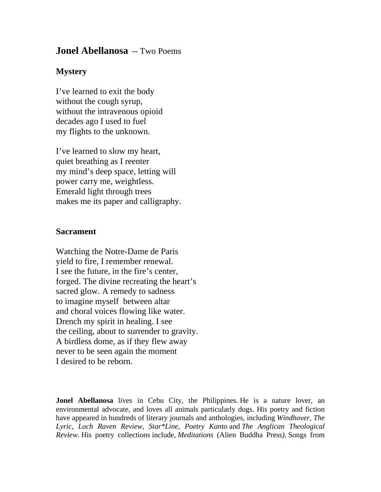## **Jonel Abellanosa** -- Two Poems

## **Mystery**

I've learned to exit the body without the cough syrup, without the intravenous opioid decades ago I used to fuel my flights to the unknown.

I've learned to slow my heart, quiet breathing as I reenter my mind's deep space, letting will power carry me, weightless. Emerald light through trees makes me its paper and calligraphy.

## **Sacrament**

Watching the Notre-Dame de Paris yield to fire, I remember renewal. I see the future, in the fire's center, forged. The divine recreating the heart's sacred glow. A remedy to sadness to imagine myself between altar and choral voices flowing like water. Drench my spirit in healing. I see the ceiling, about to surrender to gravity. A birdless dome, as if they flew away never to be seen again the moment I desired to be reborn.

**Jonel Abellanosa** lives in Cebu City, the Philippines. He is a nature lover, an environmental advocate, and loves all animals particularly dogs. His poetry and fiction have appeared in hundreds of literary journals and anthologies, including *Windhover, The Lyric, Loch Raven Review, Star\*Line, Poetry Kanto* and *The Anglican Theological Review*. His poetry collections include, *Meditations* (Alien Buddha Press*),* Songs from